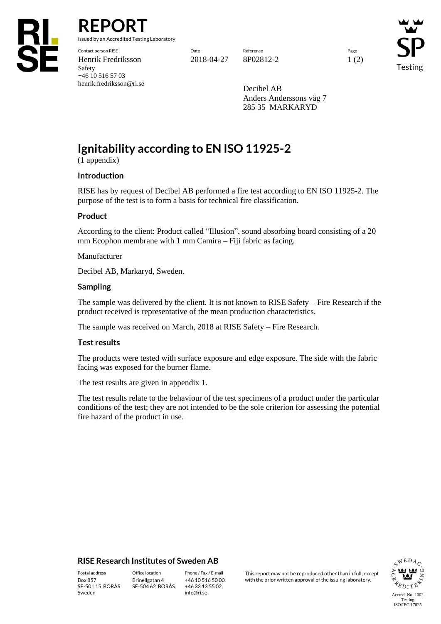

# **REPORT**

issued by an Accredited Testing Laboratory

Contact person RISE Date Reference Page Henrik Fredriksson 2018-04-27 8P02812-2 1 (2) Safety +46 10 516 57 03 henrik.fredriksson@ri.se

Testing

Decibel AB Anders Anderssons väg 7 285 35 MARKARYD

# **Ignitability according to EN ISO 11925-2**

(1 appendix)

#### **Introduction**

RISE has by request of Decibel AB performed a fire test according to EN ISO 11925-2. The purpose of the test is to form a basis for technical fire classification.

#### **Product**

According to the client: Product called "Illusion", sound absorbing board consisting of a 20 mm Ecophon membrane with 1 mm Camira – Fiji fabric as facing.

#### Manufacturer

Decibel AB, Markaryd, Sweden.

#### **Sampling**

The sample was delivered by the client. It is not known to RISE Safety – Fire Research if the product received is representative of the mean production characteristics.

The sample was received on March, 2018 at RISE Safety – Fire Research.

#### **Test results**

The products were tested with surface exposure and edge exposure. The side with the fabric facing was exposed for the burner flame.

The test results are given in appendix 1.

The test results relate to the behaviour of the test specimens of a product under the particular conditions of the test; they are not intended to be the sole criterion for assessing the potential fire hazard of the product in use.

#### **RISE Research Institutes of Sweden AB**

SE-501 15 BORÅS Sweden

Brinellgatan 4 SE-504 62 BORÅS

+46 10 516 50 00 +46 33 13 55 02 info@ri.se

Postal address Office location Phone / Fax / E-mail This report may not be reproduced other than in full, except<br>
Box 857 Brinellgatan 4 +46 10 516 50 00 with the prior written approval of the issuing laboratory. with the prior written approval of the issuing laboratory.

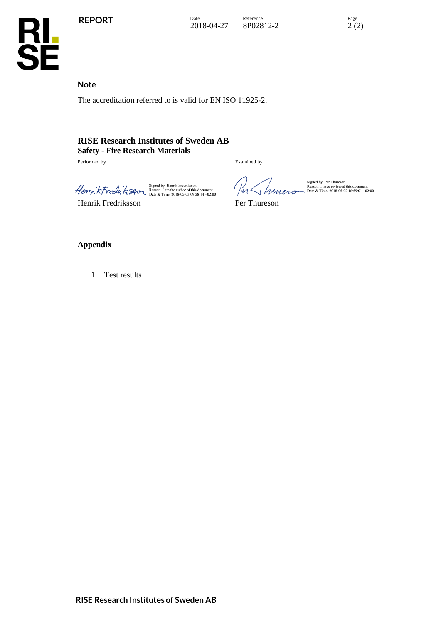

Date Reference Page Page 2018-04-27 8P02812-2 2 (2) 8P02812-2





**Note** 

The accreditation referred to is valid for EN ISO 11925-2.

# **RISE Research Institutes of Sweden AB Safety - Fire Research Materials**

Performed by Examined by

 $\mathcal{H}_{\text{OMF},k}$   $\mathcal{H}_{\text{OMF},k}$ 

Henrik Fredriksson Per Thureson

en Schmen

Signed by: Per Thureson<br>Reason: I have reviewed this document<br>Date & Time: 2018-05-02 16:59:01 +02:00

#### **Appendix**

1. Test results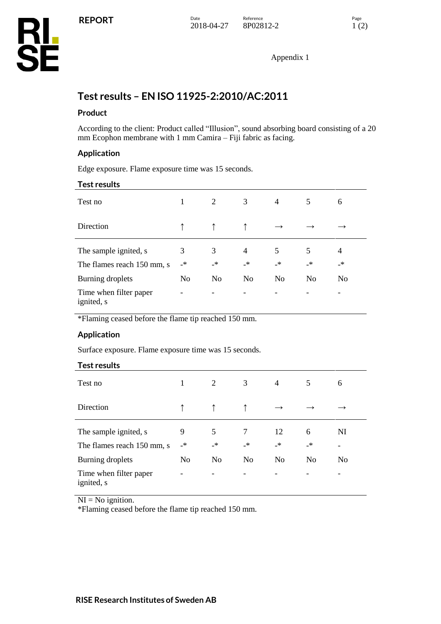Appendix 1

# **Test results – EN ISO 11925-2:2010/AC:2011**

## **Product**

According to the client: Product called "Illusion", sound absorbing board consisting of a 20 mm Ecophon membrane with 1 mm Camira – Fiji fabric as facing.

## **Application**

Edge exposure. Flame exposure time was 15 seconds.

#### **Test results**

| Test no                                             |                | 2              | 3                 | $\overline{4}$    | 5              | 6                       |
|-----------------------------------------------------|----------------|----------------|-------------------|-------------------|----------------|-------------------------|
| Direction                                           |                |                |                   |                   |                |                         |
| The sample ignited, s<br>The flames reach 150 mm, s | 3<br>$\cdot$   | 3<br>_*        | 4<br>$\mathbf{R}$ | 5<br>$\mathbf{A}$ | 5<br>$\_*$     | $\overline{4}$<br>$\_*$ |
| Burning droplets                                    | N <sub>0</sub> | N <sub>o</sub> | N <sub>o</sub>    | N <sub>o</sub>    | N <sub>o</sub> | N <sub>o</sub>          |
| Time when filter paper<br>ignited, s                |                |                |                   |                   |                |                         |

\*Flaming ceased before the flame tip reached 150 mm.

### **Application**

Surface exposure. Flame exposure time was 15 seconds.

| <b>Test results</b>                                 |                |                |                |                |                |                |
|-----------------------------------------------------|----------------|----------------|----------------|----------------|----------------|----------------|
| Test no                                             | 1              | 2              | 3              | $\overline{4}$ | 5              | 6              |
| Direction                                           |                |                |                |                |                |                |
| The sample ignited, s<br>The flames reach 150 mm, s | 9<br>_*        | 5<br>_*        | 7<br>$\cdot$   | 12<br>_*       | 6<br>$\_*$     | NI             |
| Burning droplets                                    | N <sub>0</sub> | N <sub>o</sub> | N <sub>0</sub> | N <sub>0</sub> | N <sub>0</sub> | N <sub>0</sub> |
| Time when filter paper<br>ignited, s                |                |                |                |                |                |                |

 $NI = No$  ignition.

\*Flaming ceased before the flame tip reached 150 mm.